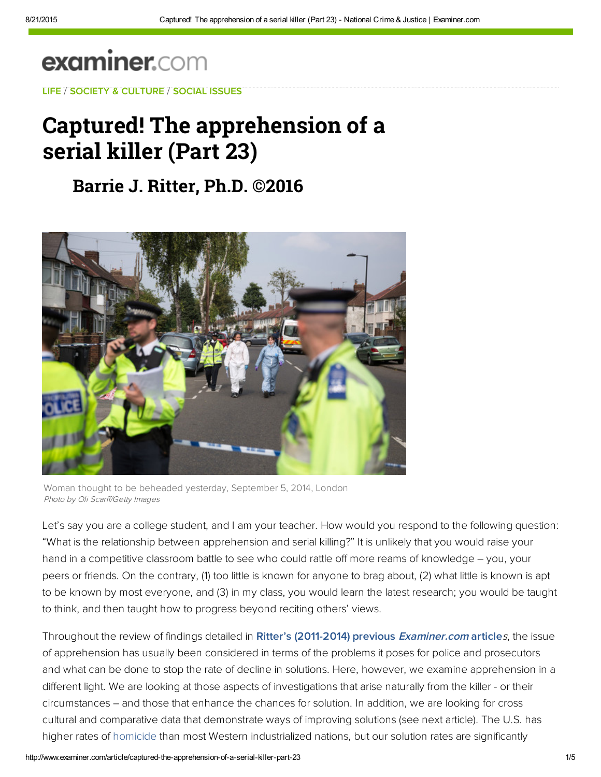# **examiner.com**

[LIFE](http://www.examiner.com/topic/life) / [SOCIETY & CULTURE](http://www.examiner.com/society-and-culture) / [SOCIAL ISSUES](http://www.examiner.com/social-issues)

## [Capture](http://web.adblade.com/clicks.php?appId=10176&zid=559ec59b46029&adId=221045&pos=1&impt=1440185263&zoneId=797&algid=4&reqid=53d46ec90be100bd&ord=1440185263&url=http%3A%2F%2Fwww.examiner.com%2Farticle%2Fcaptured-the-apprehension-of-a-serial-killer-part-23)[d! The ap](http://web.adblade.com/clicks.php?appId=10176&zid=55ccbe0467627&adId=232985&pos=2&impt=1440185263&zoneId=797&algid=4&reqid=53d46ec90be100bd&ord=1440185263&url=http%3A%2F%2Fwww.examiner.com%2Farticle%2Fcaptured-the-apprehension-of-a-serial-killer-part-23)prehension of a serial killer (Part 23)

## **[Barrie](http://web.adblade.com/clicks.php?appId=10176&zid=55d5f3ac5658b&adId=235386&pos=3&impt=1440185263&zoneId=797&algid=4&reqid=53d46ec90be100bd&ord=1440185263&url=http%3A%2F%2Fwww.examiner.com%2Farticle%2Fcaptured-the-apprehension-of-a-serial-killer-part-23) [J. Ritter, Ph.D](http://web.adblade.com/clicks.php?appId=10176&zid=55ba3eeb8a24a&adId=227761&pos=4&impt=1440185263&zoneId=797&algid=4&reqid=53d46ec90be100bd&ord=1440185263&url=http%3A%2F%2Fwww.examiner.com%2Farticle%2Fcaptured-the-apprehension-of-a-serial-killer-part-23). ©2016**



Woman thought to be beheaded yesterday, September 5, 2014, London Photo by Oli Scarff/Getty Images

Let's say you are a college student, and I am your teacher. How would you respond to the following question: "What is the relationship between apprehension and serial killing?" It is unlikely that you would raise your hand in a competitive classroom battle to see who could rattle off more reams of knowledge – you, your peers or friends. On the contrary, (1) too little is known for anyone to brag about, (2) what little is known is apt to be known by most everyone, and (3) in my class, you would learn the latest research; you would be taught to think, and then taught how to progress beyond reciting others' views.

Throughout the review of findings detailed in [Ritter's \(2011-2014\) previous](http://exm.nr/1yHfSdh) Examiner.com articles, the issue of apprehension has usually been considered in terms of the problems it poses for police and prosecutors and what can be done to stop the rate of decline in solutions. Here, however, we examine apprehension in a different light. We are looking at those aspects of investigations that arise naturally from the killer - or their circumstances – and those that enhance the chances for solution. In addition, we are looking for cross cultural and comparative data that demonstrate ways of improving solutions (see next article). The U.S. has higher rates of [homicide](http://www.examiner.com/topic/homicide) than most Western industrialized nations, but our solution rates are significantly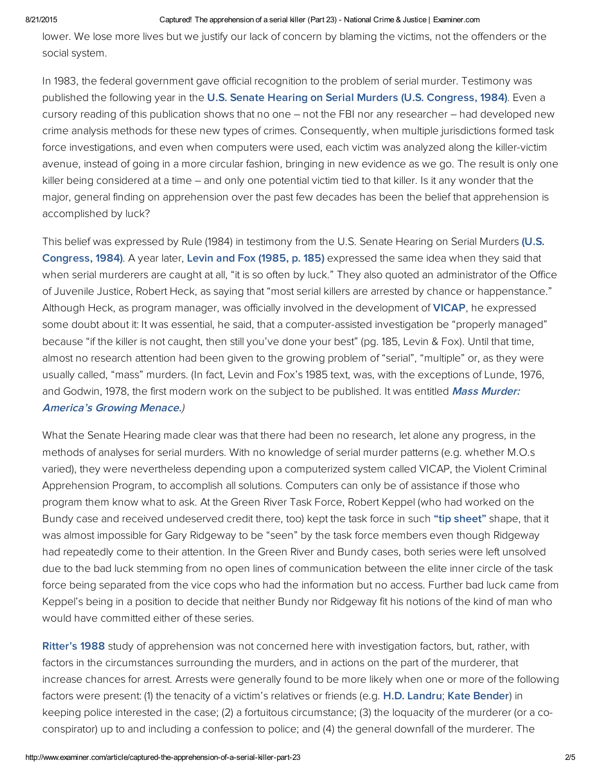#### 8/21/2015 Captured! The apprehension of a serial killer (Part 23) National Crime & Justice | Examiner.com

lower. We lose more lives but we justify our lack of concern by blaming the victims, not the offenders or the social system.

In 1983, the federal government gave official recognition to the problem of serial murder. Testimony was published the following year in the U.S. Senate Hearing on Serial Murders (U.S. [Congress,](http://bit.ly/1uqr8uI) 1984). Even a cursory reading of this publication shows that no one – not the FBI nor any researcher – had developed new crime analysis methods for these new types of crimes. Consequently, when multiple jurisdictions formed task force investigations, and even when computers were used, each victim was analyzed along the killer-victim avenue, instead of going in a more circular fashion, bringing in new evidence as we go. The result is only one killer being considered at a time – and only one potential victim tied to that killer. Is it any wonder that the major, general finding on apprehension over the past few decades has been the belief that apprehension is accomplished by luck?

This belief was expressed by Rule (1984) in testimony from the U.S. Senate Hearing on Serial Murders (U.S. [Congress,](http://bit.ly/1uqr8uI) 1984). A year later, Levin and Fox [\(1985,](http://bit.ly/1oyVhPs) p. 185) expressed the same idea when they said that when serial murderers are caught at all, "it is so often by luck." They also quoted an administrator of the Office of Juvenile Justice, Robert Heck, as saying that "most serial killers are arrested by chance or happenstance." Al[though](http://pubnation.com/) Heck, as program manager, was officially involved in the development of [VICAP,](http://bit.ly/1vWYT2H) he expressed some doubt about it: It was essential, he said, that a computer-assisted investigation be "properly managed" because "if the killer is not caught, then still you've done your best" (pg. 185, Levin & Fox). Until that time, almost no research attention had been given to the growing problem of "serial", "multiple" or, as they were usually called, "mass" murders. (In fact, Levin and Fox's 1985 text, was, with the exceptions of Lunde, 1976, and Godwin, 1978, the first modern work on the subject to be [published.](http://bit.ly/1vWYT2H) It was entitled Mass Murder: America's Growing Menace.)

What the Senate Hearing made clear was that there had been no research, let alone any progress, in the methods of analyses for serial murders. With no knowledge of serial murder patterns (e.g. whether M.O.s varied), they were nevertheless depending upon a computerized system called VICAP, the Violent Criminal Apprehension Program, to accomplish all solutions. Computers can only be of assistance if those who program them know what to ask. At the Green River Task Force, Robert Keppel (who had worked on the Bundy case and received undeserved credit there, too) kept the task force in such "tip [sheet"](http://bit.ly/182d7Jq) shape, that it was almost impossible for Gary Ridgeway to be "seen" by the task force members even though Ridgeway had repeatedly come to their attention. In the Green River and Bundy cases, both series were left unsolved due to the bad luck stemming from no open lines of communication between the elite inner circle of the task force being separated from the vice cops who had the information but no access. Further bad luck came from Keppel's being in a position to decide that neither Bundy nor Ridgeway fit his notions of the kind of man who would have committed either of these series.

[Ritter's](http://bit.ly/1ubDkdG) 1988 study of apprehension was not concerned here with investigation factors, but, rather, with factors in the circumstances surrounding the murders, and in actions on the part of the murderer, that increase chances for arrest. Arrests were generally found to be more likely when one or more of the following factors were present: (1) the tenacity of a victim's relatives or friends (e.g. H.D. [Landru;](http://bit.ly/1yIKDQL) Kate [Bender](http://bit.ly/1CNyPKF)) in keeping police interested in the case; (2) a fortuitous circumstance; (3) the loquacity of the murderer (or a coconspirator) up to and including a confession to police; and (4) the general downfall of the murderer. The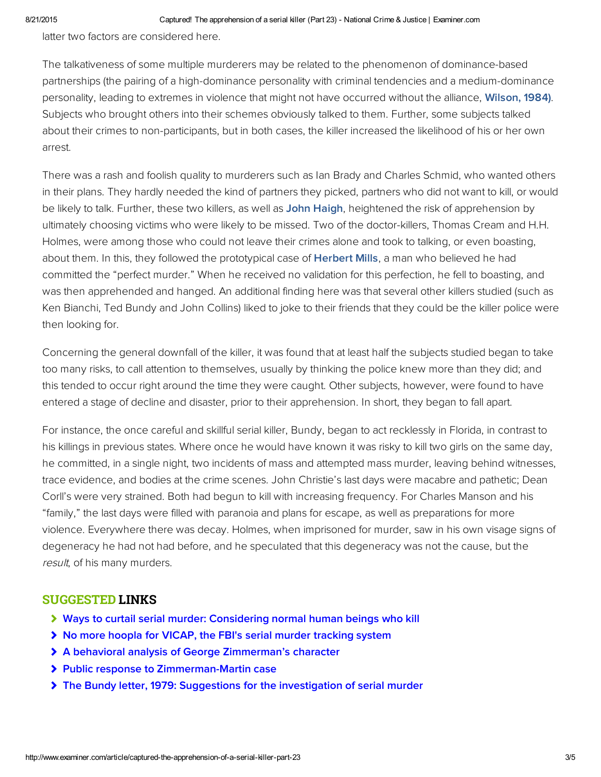latter two factors are considered here.

The talkativeness of some multiple murderers may be related to the phenomenon of dominance-based partnerships (the pairing of a high-dominance personality with criminal tendencies and a medium-dominance personality, leading to extremes in violence that might not have occurred without the alliance, [Wilson, 1984\)](http://bit.ly/1CNyPKF). Subjects who brought others into their schemes obviously talked to them. Further, some subjects talked about their crimes to non-participants, but in both cases, the killer increased the likelihood of his or her own arrest.

There was a rash and foolish quality to murderers such as Ian Brady and Charles Schmid, who wanted others in their plans. They hardly needed the kind of partners they picked, partners who did not want to kill, or would be likely to talk. Further, these two killers, as well as [John Haigh,](http://bit.ly/1CNMIZl) heightened the risk of apprehension by ultimately choosing victims who were likely to be missed. Two of the doctor-killers, Thomas Cream and H.H. Holmes, were among those who could not leave their crimes alone and took to talking, or even boasting, about them. In this, they followed the prototypical case of [Herbert Mills,](http://bit.ly/1Czwgvc) a man who believed he had committed the "perfect murder." When he received no validation for this perfection, he fell to boasting, and was then apprehended and hanged. An additional finding here was that several other killers studied (such as Ken Bianchi, Ted Bundy and John Collins) liked to joke to their friends that they could be the killer police were then looking for.

Concerning the general downfall of the killer, it was found that at least half the subjects studied began to take too many risks, to call attention to themselves, usually by thinking the police knew more than they did; and this tended to occur right around the time they were caught. Other subjects, however, were found to have entered a stage of decline and disaster, prior to their apprehension. In short, they began to fall apart.

For instance, the once careful and skillful serial killer, Bundy, began to act recklessly in Florida, in contrast to his killings in previous states. Where once he would have known it was risky to kill two girls on the same day, he committed, in a single night, two incidents of mass and attempted mass murder, leaving behind witnesses, trace evidence, and bodies at the crime scenes. John Christie's last days were macabre and pathetic; Dean Corll's were very strained. Both had begun to kill with increasing frequency. For Charles Manson and his "family," the last days were filled with paranoia and plans for escape, as well as preparations for more violence. Everywhere there was decay. Holmes, when imprisoned for murder, saw in his own visage signs of degeneracy he had not had before, and he speculated that this degeneracy was not the cause, but the result, of his many murders.

### SUGGESTED LINKS

- [Ways to curtail serial murder: Considering normal human beings who kill](http://www.ritterhomicideresearch.com/articles/ways-to-curtail-serial-murder-considering-normal-human-beings-who-kill.pdf)
- [No more hoopla for VICAP, the FBI's serial murder tracking system](http://www.ritterhomicideresearch.com/articles/VICAP_the-FBIs-serial-murder-tracking-system.pdf)
- [A behavioral analysis of George Zimmerman's character](http://www.ritterhomicideresearch.com/articles/analysis-of-George-Zimmermans-character.pdf)
- [Public response to Zimmerman-Martin case](http://www.ritterhomicideresearch.com/articles/Public-response-to-Zimmerman-Martin-case.pdf)
- **▶ [The Bundy letter, 1979: Suggestions for the investigation of serial murder](http://www.ritterhomicideresearch.com/articles/The-Bundy-letter-1979_Suggestions-for-investigation-of-serial-murder.pdf)**